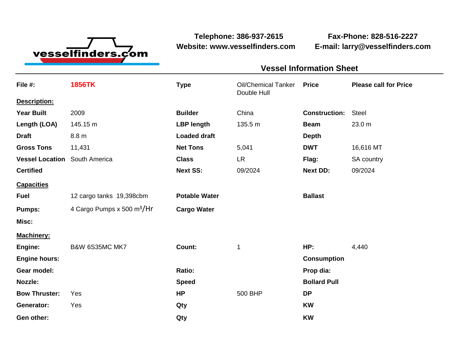

**Telephone: 386-937-2615 Fax-Phone: 828-516-2227 Website: www.vesselfinders.com E-mail: larry@vesselfinders.com**

| File #:<br>Description: | <b>1856TK</b>                          | <b>Type</b>          | <b>Oil/Chemical Tanker</b><br>Double Hull | <b>Price</b>         | <b>Please call for Price</b> |
|-------------------------|----------------------------------------|----------------------|-------------------------------------------|----------------------|------------------------------|
|                         |                                        |                      |                                           |                      |                              |
| <b>Year Built</b>       | 2009                                   | <b>Builder</b>       | China                                     | <b>Construction:</b> | <b>Steel</b>                 |
| Length (LOA)            | 145.15 m                               | <b>LBP length</b>    | 135.5 m                                   | <b>Beam</b>          | 23.0 m                       |
| <b>Draft</b>            | 8.8 m                                  | <b>Loaded draft</b>  |                                           | <b>Depth</b>         |                              |
| <b>Gross Tons</b>       | 11,431                                 | <b>Net Tons</b>      | 5,041                                     | <b>DWT</b>           | 16,616 MT                    |
| <b>Vessel Location</b>  | South America                          | <b>Class</b>         | <b>LR</b>                                 | Flag:                | SA country                   |
| <b>Certified</b>        |                                        | <b>Next SS:</b>      | 09/2024                                   | <b>Next DD:</b>      | 09/2024                      |
| <b>Capacities</b>       |                                        |                      |                                           |                      |                              |
| <b>Fuel</b>             | 12 cargo tanks 19,398cbm               | <b>Potable Water</b> |                                           | <b>Ballast</b>       |                              |
| <b>Pumps:</b>           | 4 Cargo Pumps x 500 m <sup>3</sup> /Hr | <b>Cargo Water</b>   |                                           |                      |                              |
| Misc:                   |                                        |                      |                                           |                      |                              |
| <b>Machinery:</b>       |                                        |                      |                                           |                      |                              |
| Engine:                 | B&W 6S35MC MK7                         | Count:               | 1                                         | HP:                  | 4,440                        |
| <b>Engine hours:</b>    |                                        |                      |                                           | <b>Consumption</b>   |                              |
| Gear model:             |                                        | Ratio:               |                                           | Prop dia:            |                              |
| Nozzle:                 |                                        | <b>Speed</b>         |                                           | <b>Bollard Pull</b>  |                              |
| <b>Bow Thruster:</b>    | Yes                                    | <b>HP</b>            | 500 BHP                                   | <b>DP</b>            |                              |
| Generator:              | Yes                                    | Qty                  |                                           | <b>KW</b>            |                              |
| Gen other:              |                                        | Qty                  |                                           | <b>KW</b>            |                              |